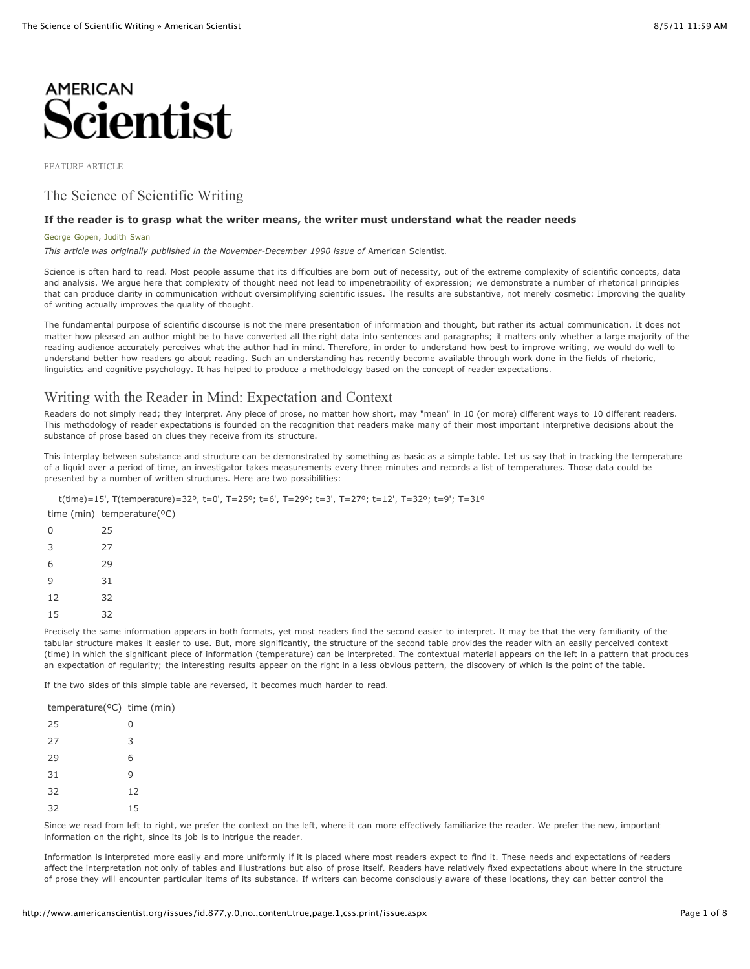

FEATURE ARTICLE

# The Science of Scientific Writing

#### **If the reader is to grasp what the writer means, the writer must understand what the reader needs**

#### [George Gopen](http://www.americanscientist.org/authors/detail/george-gopen), [Judith Swan](http://www.americanscientist.org/authors/detail/judith-swan)

*This article was originally published in the November-December 1990 issue of* American Scientist.

Science is often hard to read. Most people assume that its difficulties are born out of necessity, out of the extreme complexity of scientific concepts, data and analysis. We argue here that complexity of thought need not lead to impenetrability of expression; we demonstrate a number of rhetorical principles that can produce clarity in communication without oversimplifying scientific issues. The results are substantive, not merely cosmetic: Improving the quality of writing actually improves the quality of thought.

The fundamental purpose of scientific discourse is not the mere presentation of information and thought, but rather its actual communication. It does not matter how pleased an author might be to have converted all the right data into sentences and paragraphs; it matters only whether a large majority of the reading audience accurately perceives what the author had in mind. Therefore, in order to understand how best to improve writing, we would do well to understand better how readers go about reading. Such an understanding has recently become available through work done in the fields of rhetoric, linguistics and cognitive psychology. It has helped to produce a methodology based on the concept of reader expectations.

## Writing with the Reader in Mind: Expectation and Context

Readers do not simply read; they interpret. Any piece of prose, no matter how short, may "mean" in 10 (or more) different ways to 10 different readers. This methodology of reader expectations is founded on the recognition that readers make many of their most important interpretive decisions about the substance of prose based on clues they receive from its structure.

This interplay between substance and structure can be demonstrated by something as basic as a simple table. Let us say that in tracking the temperature of a liquid over a period of time, an investigator takes measurements every three minutes and records a list of temperatures. Those data could be presented by a number of written structures. Here are two possibilities:

t(time)=15', T(temperature)=32º, t=0', T=25º; t=6', T=29º; t=3', T=27º; t=12', T=32º; t=9'; T=31º

time (min) temperature(ºC)

| 0  | 25 |  |
|----|----|--|
| 3  | 27 |  |
| 6  | 29 |  |
| 9  | 31 |  |
| 12 | 32 |  |
| 15 | 32 |  |

Precisely the same information appears in both formats, yet most readers find the second easier to interpret. It may be that the very familiarity of the tabular structure makes it easier to use. But, more significantly, the structure of the second table provides the reader with an easily perceived context (time) in which the significant piece of information (temperature) can be interpreted. The contextual material appears on the left in a pattern that produces an expectation of regularity; the interesting results appear on the right in a less obvious pattern, the discovery of which is the point of the table.

If the two sides of this simple table are reversed, it becomes much harder to read.

temperature(ºC) time (min)

| 25 | 0  |
|----|----|
| 27 | 3  |
| 29 | 6  |
| 31 | 9  |
| 32 | 12 |
| 32 | 15 |

Since we read from left to right, we prefer the context on the left, where it can more effectively familiarize the reader. We prefer the new, important information on the right, since its job is to intrigue the reader.

Information is interpreted more easily and more uniformly if it is placed where most readers expect to find it. These needs and expectations of readers affect the interpretation not only of tables and illustrations but also of prose itself. Readers have relatively fixed expectations about where in the structure of prose they will encounter particular items of its substance. If writers can become consciously aware of these locations, they can better control the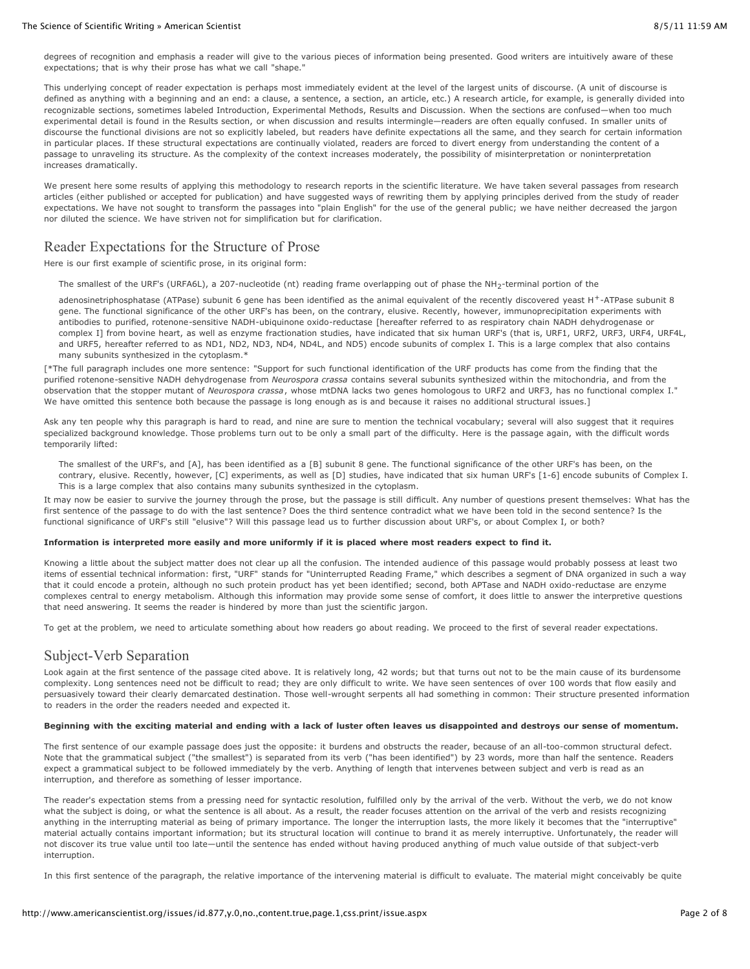degrees of recognition and emphasis a reader will give to the various pieces of information being presented. Good writers are intuitively aware of these expectations; that is why their prose has what we call "shape."

This underlying concept of reader expectation is perhaps most immediately evident at the level of the largest units of discourse. (A unit of discourse is defined as anything with a beginning and an end: a clause, a sentence, a section, an article, etc.) A research article, for example, is generally divided into recognizable sections, sometimes labeled Introduction, Experimental Methods, Results and Discussion. When the sections are confused—when too much experimental detail is found in the Results section, or when discussion and results intermingle—readers are often equally confused. In smaller units of discourse the functional divisions are not so explicitly labeled, but readers have definite expectations all the same, and they search for certain information in particular places. If these structural expectations are continually violated, readers are forced to divert energy from understanding the content of a passage to unraveling its structure. As the complexity of the context increases moderately, the possibility of misinterpretation or noninterpretation increases dramatically.

We present here some results of applying this methodology to research reports in the scientific literature. We have taken several passages from research articles (either published or accepted for publication) and have suggested ways of rewriting them by applying principles derived from the study of reader expectations. We have not sought to transform the passages into "plain English" for the use of the general public; we have neither decreased the jargon nor diluted the science. We have striven not for simplification but for clarification.

# Reader Expectations for the Structure of Prose

Here is our first example of scientific prose, in its original form:

The smallest of the URF's (URFA6L), a 207-nucleotide (nt) reading frame overlapping out of phase the NH<sub>2</sub>-terminal portion of the

adenosinetriphosphatase (ATPase) subunit 6 gene has been identified as the animal equivalent of the recently discovered yeast H<sup>+</sup>-ATPase subunit 8 gene. The functional significance of the other URF's has been, on the contrary, elusive. Recently, however, immunoprecipitation experiments with antibodies to purified, rotenone-sensitive NADH-ubiquinone oxido-reductase [hereafter referred to as respiratory chain NADH dehydrogenase or complex I] from bovine heart, as well as enzyme fractionation studies, have indicated that six human URF's (that is, URF1, URF2, URF3, URF4, URF4L, and URF5, hereafter referred to as ND1, ND2, ND3, ND4, ND4L, and ND5) encode subunits of complex I. This is a large complex that also contains many subunits synthesized in the cytoplasm.\*

[\*The full paragraph includes one more sentence: "Support for such functional identification of the URF products has come from the finding that the purified rotenone-sensitive NADH dehydrogenase from *Neurospora crassa* contains several subunits synthesized within the mitochondria, and from the observation that the stopper mutant of *Neurospora crassa*, whose mtDNA lacks two genes homologous to URF2 and URF3, has no functional complex I." We have omitted this sentence both because the passage is long enough as is and because it raises no additional structural issues.]

Ask any ten people why this paragraph is hard to read, and nine are sure to mention the technical vocabulary; several will also suggest that it requires specialized background knowledge. Those problems turn out to be only a small part of the difficulty. Here is the passage again, with the difficult words temporarily lifted:

The smallest of the URF's, and [A], has been identified as a [B] subunit 8 gene. The functional significance of the other URF's has been, on the contrary, elusive. Recently, however, [C] experiments, as well as [D] studies, have indicated that six human URF's [1-6] encode subunits of Complex I. This is a large complex that also contains many subunits synthesized in the cytoplasm.

It may now be easier to survive the journey through the prose, but the passage is still difficult. Any number of questions present themselves: What has the first sentence of the passage to do with the last sentence? Does the third sentence contradict what we have been told in the second sentence? Is the functional significance of URF's still "elusive"? Will this passage lead us to further discussion about URF's, or about Complex I, or both?

#### **Information is interpreted more easily and more uniformly if it is placed where most readers expect to find it.**

Knowing a little about the subject matter does not clear up all the confusion. The intended audience of this passage would probably possess at least two items of essential technical information: first, "URF" stands for "Uninterrupted Reading Frame," which describes a segment of DNA organized in such a way that it could encode a protein, although no such protein product has yet been identified; second, both APTase and NADH oxido-reductase are enzyme complexes central to energy metabolism. Although this information may provide some sense of comfort, it does little to answer the interpretive questions that need answering. It seems the reader is hindered by more than just the scientific jargon.

To get at the problem, we need to articulate something about how readers go about reading. We proceed to the first of several reader expectations.

# Subject-Verb Separation

Look again at the first sentence of the passage cited above. It is relatively long, 42 words; but that turns out not to be the main cause of its burdensome complexity. Long sentences need not be difficult to read; they are only difficult to write. We have seen sentences of over 100 words that flow easily and persuasively toward their clearly demarcated destination. Those well-wrought serpents all had something in common: Their structure presented information to readers in the order the readers needed and expected it.

#### **Beginning with the exciting material and ending with a lack of luster often leaves us disappointed and destroys our sense of momentum.**

The first sentence of our example passage does just the opposite: it burdens and obstructs the reader, because of an all-too-common structural defect. Note that the grammatical subject ("the smallest") is separated from its verb ("has been identified") by 23 words, more than half the sentence. Readers expect a grammatical subject to be followed immediately by the verb. Anything of length that intervenes between subject and verb is read as an interruption, and therefore as something of lesser importance.

The reader's expectation stems from a pressing need for syntactic resolution, fulfilled only by the arrival of the verb. Without the verb, we do not know what the subject is doing, or what the sentence is all about. As a result, the reader focuses attention on the arrival of the verb and resists recognizing anything in the interrupting material as being of primary importance. The longer the interruption lasts, the more likely it becomes that the "interruptive" material actually contains important information; but its structural location will continue to brand it as merely interruptive. Unfortunately, the reader will not discover its true value until too late—until the sentence has ended without having produced anything of much value outside of that subject-verb interruption.

In this first sentence of the paragraph, the relative importance of the intervening material is difficult to evaluate. The material might conceivably be quite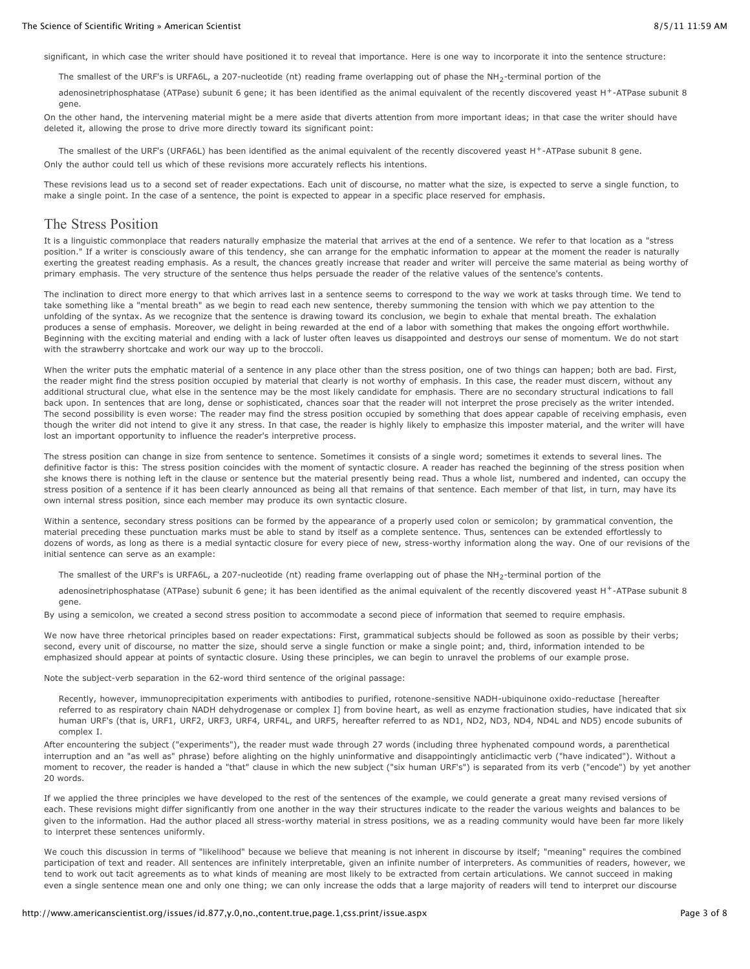significant, in which case the writer should have positioned it to reveal that importance. Here is one way to incorporate it into the sentence structure:

The smallest of the URF's is URFA6L, a 207-nucleotide (nt) reading frame overlapping out of phase the NH<sub>2</sub>-terminal portion of the

adenosinetriphosphatase (ATPase) subunit 6 gene; it has been identified as the animal equivalent of the recently discovered yeast H<sup>+</sup>-ATPase subunit 8 gene.

On the other hand, the intervening material might be a mere aside that diverts attention from more important ideas; in that case the writer should have deleted it, allowing the prose to drive more directly toward its significant point:

The smallest of the URF's (URFA6L) has been identified as the animal equivalent of the recently discovered yeast H<sup>+</sup>-ATPase subunit 8 gene. Only the author could tell us which of these revisions more accurately reflects his intentions.

These revisions lead us to a second set of reader expectations. Each unit of discourse, no matter what the size, is expected to serve a single function, to make a single point. In the case of a sentence, the point is expected to appear in a specific place reserved for emphasis.

## The Stress Position

It is a linguistic commonplace that readers naturally emphasize the material that arrives at the end of a sentence. We refer to that location as a "stress position." If a writer is consciously aware of this tendency, she can arrange for the emphatic information to appear at the moment the reader is naturally exerting the greatest reading emphasis. As a result, the chances greatly increase that reader and writer will perceive the same material as being worthy of primary emphasis. The very structure of the sentence thus helps persuade the reader of the relative values of the sentence's contents.

The inclination to direct more energy to that which arrives last in a sentence seems to correspond to the way we work at tasks through time. We tend to take something like a "mental breath" as we begin to read each new sentence, thereby summoning the tension with which we pay attention to the unfolding of the syntax. As we recognize that the sentence is drawing toward its conclusion, we begin to exhale that mental breath. The exhalation produces a sense of emphasis. Moreover, we delight in being rewarded at the end of a labor with something that makes the ongoing effort worthwhile. Beginning with the exciting material and ending with a lack of luster often leaves us disappointed and destroys our sense of momentum. We do not start with the strawberry shortcake and work our way up to the broccoli.

When the writer puts the emphatic material of a sentence in any place other than the stress position, one of two things can happen; both are bad. First, the reader might find the stress position occupied by material that clearly is not worthy of emphasis. In this case, the reader must discern, without any additional structural clue, what else in the sentence may be the most likely candidate for emphasis. There are no secondary structural indications to fall back upon. In sentences that are long, dense or sophisticated, chances soar that the reader will not interpret the prose precisely as the writer intended. The second possibility is even worse: The reader may find the stress position occupied by something that does appear capable of receiving emphasis, even though the writer did not intend to give it any stress. In that case, the reader is highly likely to emphasize this imposter material, and the writer will have lost an important opportunity to influence the reader's interpretive process.

The stress position can change in size from sentence to sentence. Sometimes it consists of a single word; sometimes it extends to several lines. The definitive factor is this: The stress position coincides with the moment of syntactic closure. A reader has reached the beginning of the stress position when she knows there is nothing left in the clause or sentence but the material presently being read. Thus a whole list, numbered and indented, can occupy the stress position of a sentence if it has been clearly announced as being all that remains of that sentence. Each member of that list, in turn, may have its own internal stress position, since each member may produce its own syntactic closure.

Within a sentence, secondary stress positions can be formed by the appearance of a properly used colon or semicolon; by grammatical convention, the material preceding these punctuation marks must be able to stand by itself as a complete sentence. Thus, sentences can be extended effortlessly to dozens of words, as long as there is a medial syntactic closure for every piece of new, stress-worthy information along the way. One of our revisions of the initial sentence can serve as an example:

The smallest of the URF's is URFA6L, a 207-nucleotide (nt) reading frame overlapping out of phase the NH<sub>2</sub>-terminal portion of the

adenosinetriphosphatase (ATPase) subunit 6 gene; it has been identified as the animal equivalent of the recently discovered yeast H+-ATPase subunit 8 gene.

By using a semicolon, we created a second stress position to accommodate a second piece of information that seemed to require emphasis.

We now have three rhetorical principles based on reader expectations: First, grammatical subjects should be followed as soon as possible by their verbs; second, every unit of discourse, no matter the size, should serve a single function or make a single point; and, third, information intended to be emphasized should appear at points of syntactic closure. Using these principles, we can begin to unravel the problems of our example prose.

Note the subject-verb separation in the 62-word third sentence of the original passage:

Recently, however, immunoprecipitation experiments with antibodies to purified, rotenone-sensitive NADH-ubiquinone oxido-reductase [hereafter referred to as respiratory chain NADH dehydrogenase or complex I] from bovine heart, as well as enzyme fractionation studies, have indicated that six human URF's (that is, URF1, URF2, URF3, URF4, URF4L, and URF5, hereafter referred to as ND1, ND2, ND3, ND4, ND4L and ND5) encode subunits of complex I.

After encountering the subject ("experiments"), the reader must wade through 27 words (including three hyphenated compound words, a parenthetical interruption and an "as well as" phrase) before alighting on the highly uninformative and disappointingly anticlimactic verb ("have indicated"). Without a moment to recover, the reader is handed a "that" clause in which the new subject ("six human URF's") is separated from its verb ("encode") by yet another 20 words.

If we applied the three principles we have developed to the rest of the sentences of the example, we could generate a great many revised versions of each. These revisions might differ significantly from one another in the way their structures indicate to the reader the various weights and balances to be given to the information. Had the author placed all stress-worthy material in stress positions, we as a reading community would have been far more likely to interpret these sentences uniformly.

We couch this discussion in terms of "likelihood" because we believe that meaning is not inherent in discourse by itself; "meaning" requires the combined participation of text and reader. All sentences are infinitely interpretable, given an infinite number of interpreters. As communities of readers, however, we tend to work out tacit agreements as to what kinds of meaning are most likely to be extracted from certain articulations. We cannot succeed in making even a single sentence mean one and only one thing; we can only increase the odds that a large majority of readers will tend to interpret our discourse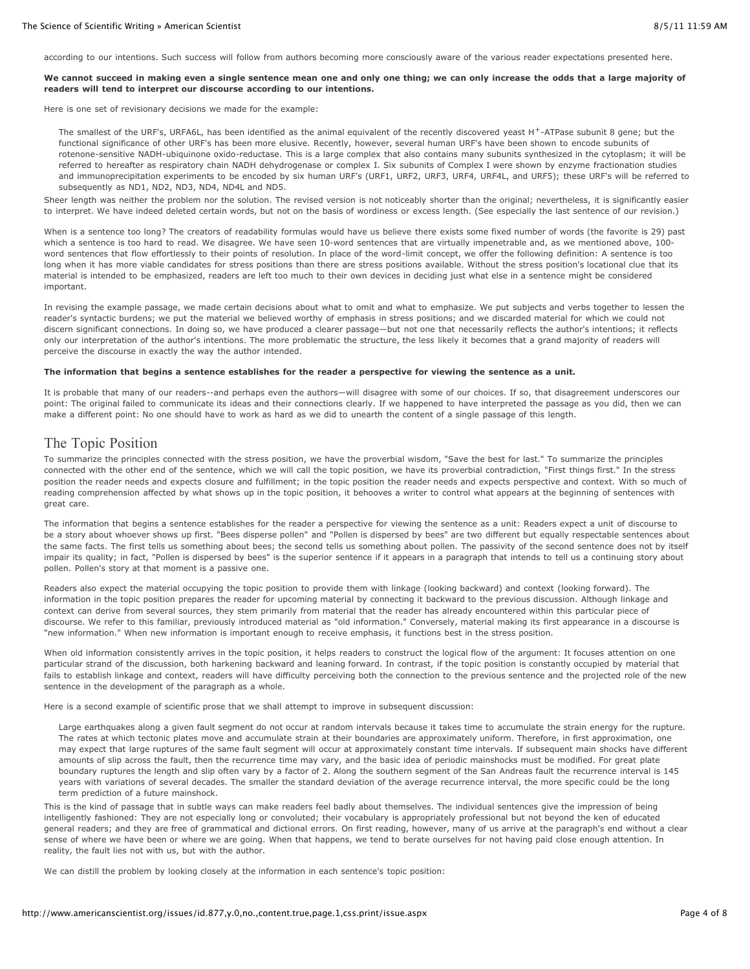according to our intentions. Such success will follow from authors becoming more consciously aware of the various reader expectations presented here.

#### **We cannot succeed in making even a single sentence mean one and only one thing; we can only increase the odds that a large majority of readers will tend to interpret our discourse according to our intentions.**

Here is one set of revisionary decisions we made for the example:

The smallest of the URF's, URFA6L, has been identified as the animal equivalent of the recently discovered yeast H<sup>+</sup>-ATPase subunit 8 gene; but the functional significance of other URF's has been more elusive. Recently, however, several human URF's have been shown to encode subunits of rotenone-sensitive NADH-ubiquinone oxido-reductase. This is a large complex that also contains many subunits synthesized in the cytoplasm; it will be referred to hereafter as respiratory chain NADH dehydrogenase or complex I. Six subunits of Complex I were shown by enzyme fractionation studies and immunoprecipitation experiments to be encoded by six human URF's (URF1, URF2, URF3, URF4, URF4L, and URF5); these URF's will be referred to subsequently as ND1, ND2, ND3, ND4, ND4L and ND5.

Sheer length was neither the problem nor the solution. The revised version is not noticeably shorter than the original; nevertheless, it is significantly easier to interpret. We have indeed deleted certain words, but not on the basis of wordiness or excess length. (See especially the last sentence of our revision.)

When is a sentence too long? The creators of readability formulas would have us believe there exists some fixed number of words (the favorite is 29) past which a sentence is too hard to read. We disagree. We have seen 10-word sentences that are virtually impenetrable and, as we mentioned above, 100 word sentences that flow effortlessly to their points of resolution. In place of the word-limit concept, we offer the following definition: A sentence is too long when it has more viable candidates for stress positions than there are stress positions available. Without the stress position's locational clue that its material is intended to be emphasized, readers are left too much to their own devices in deciding just what else in a sentence might be considered important.

In revising the example passage, we made certain decisions about what to omit and what to emphasize. We put subjects and verbs together to lessen the reader's syntactic burdens; we put the material we believed worthy of emphasis in stress positions; and we discarded material for which we could not discern significant connections. In doing so, we have produced a clearer passage—but not one that necessarily reflects the author's intentions; it reflects only our interpretation of the author's intentions. The more problematic the structure, the less likely it becomes that a grand majority of readers will perceive the discourse in exactly the way the author intended.

#### **The information that begins a sentence establishes for the reader a perspective for viewing the sentence as a unit.**

It is probable that many of our readers--and perhaps even the authors—will disagree with some of our choices. If so, that disagreement underscores our point: The original failed to communicate its ideas and their connections clearly. If we happened to have interpreted the passage as you did, then we can make a different point: No one should have to work as hard as we did to unearth the content of a single passage of this length.

## The Topic Position

To summarize the principles connected with the stress position, we have the proverbial wisdom, "Save the best for last." To summarize the principles connected with the other end of the sentence, which we will call the topic position, we have its proverbial contradiction, "First things first." In the stress position the reader needs and expects closure and fulfillment; in the topic position the reader needs and expects perspective and context. With so much of reading comprehension affected by what shows up in the topic position, it behooves a writer to control what appears at the beginning of sentences with great care.

The information that begins a sentence establishes for the reader a perspective for viewing the sentence as a unit: Readers expect a unit of discourse to be a story about whoever shows up first. "Bees disperse pollen" and "Pollen is dispersed by bees" are two different but equally respectable sentences about the same facts. The first tells us something about bees; the second tells us something about pollen. The passivity of the second sentence does not by itself impair its quality; in fact, "Pollen is dispersed by bees" is the superior sentence if it appears in a paragraph that intends to tell us a continuing story about pollen. Pollen's story at that moment is a passive one.

Readers also expect the material occupying the topic position to provide them with linkage (looking backward) and context (looking forward). The information in the topic position prepares the reader for upcoming material by connecting it backward to the previous discussion. Although linkage and context can derive from several sources, they stem primarily from material that the reader has already encountered within this particular piece of discourse. We refer to this familiar, previously introduced material as "old information." Conversely, material making its first appearance in a discourse is "new information." When new information is important enough to receive emphasis, it functions best in the stress position.

When old information consistently arrives in the topic position, it helps readers to construct the logical flow of the argument: It focuses attention on one particular strand of the discussion, both harkening backward and leaning forward. In contrast, if the topic position is constantly occupied by material that fails to establish linkage and context, readers will have difficulty perceiving both the connection to the previous sentence and the projected role of the new sentence in the development of the paragraph as a whole.

Here is a second example of scientific prose that we shall attempt to improve in subsequent discussion:

Large earthquakes along a given fault segment do not occur at random intervals because it takes time to accumulate the strain energy for the rupture. The rates at which tectonic plates move and accumulate strain at their boundaries are approximately uniform. Therefore, in first approximation, one may expect that large ruptures of the same fault segment will occur at approximately constant time intervals. If subsequent main shocks have different amounts of slip across the fault, then the recurrence time may vary, and the basic idea of periodic mainshocks must be modified. For great plate boundary ruptures the length and slip often vary by a factor of 2. Along the southern segment of the San Andreas fault the recurrence interval is 145 years with variations of several decades. The smaller the standard deviation of the average recurrence interval, the more specific could be the long term prediction of a future mainshock.

This is the kind of passage that in subtle ways can make readers feel badly about themselves. The individual sentences give the impression of being intelligently fashioned: They are not especially long or convoluted; their vocabulary is appropriately professional but not beyond the ken of educated general readers; and they are free of grammatical and dictional errors. On first reading, however, many of us arrive at the paragraph's end without a clear sense of where we have been or where we are going. When that happens, we tend to berate ourselves for not having paid close enough attention. In reality, the fault lies not with us, but with the author.

We can distill the problem by looking closely at the information in each sentence's topic position: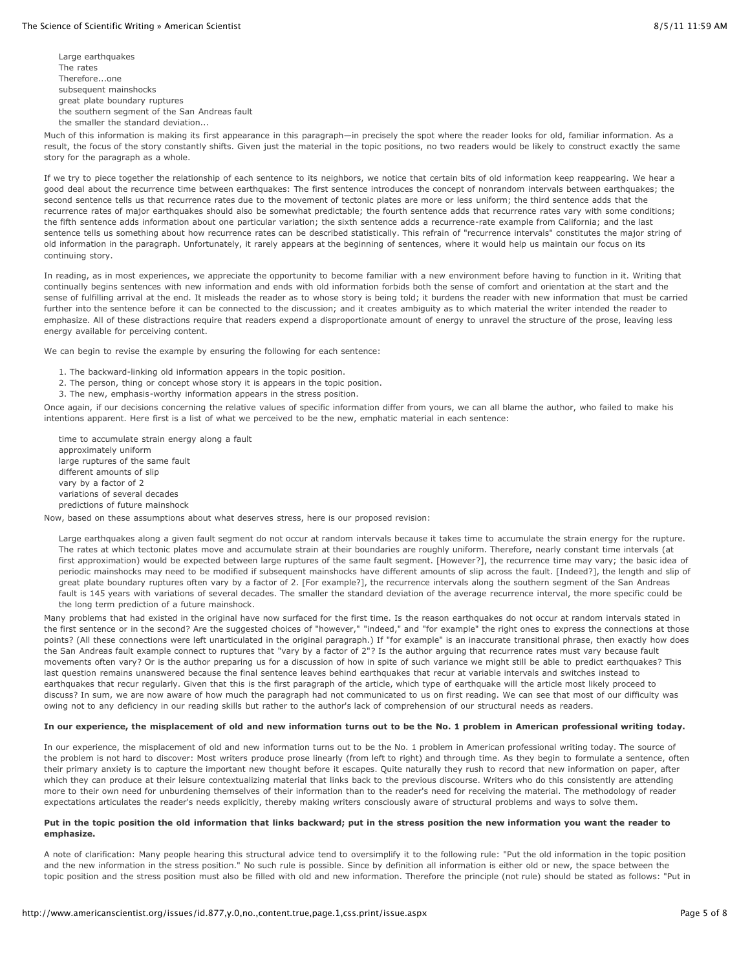Large earthquakes The rates Therefore...one subsequent mainshocks great plate boundary ruptures the southern segment of the San Andreas fault the smaller the standard deviation...

Much of this information is making its first appearance in this paragraph—in precisely the spot where the reader looks for old, familiar information. As a result, the focus of the story constantly shifts. Given just the material in the topic positions, no two readers would be likely to construct exactly the same story for the paragraph as a whole.

If we try to piece together the relationship of each sentence to its neighbors, we notice that certain bits of old information keep reappearing. We hear a good deal about the recurrence time between earthquakes: The first sentence introduces the concept of nonrandom intervals between earthquakes; the second sentence tells us that recurrence rates due to the movement of tectonic plates are more or less uniform; the third sentence adds that the recurrence rates of major earthquakes should also be somewhat predictable; the fourth sentence adds that recurrence rates vary with some conditions; the fifth sentence adds information about one particular variation; the sixth sentence adds a recurrence-rate example from California; and the last sentence tells us something about how recurrence rates can be described statistically. This refrain of "recurrence intervals" constitutes the major string of old information in the paragraph. Unfortunately, it rarely appears at the beginning of sentences, where it would help us maintain our focus on its continuing story.

In reading, as in most experiences, we appreciate the opportunity to become familiar with a new environment before having to function in it. Writing that continually begins sentences with new information and ends with old information forbids both the sense of comfort and orientation at the start and the sense of fulfilling arrival at the end. It misleads the reader as to whose story is being told; it burdens the reader with new information that must be carried further into the sentence before it can be connected to the discussion; and it creates ambiguity as to which material the writer intended the reader to emphasize. All of these distractions require that readers expend a disproportionate amount of energy to unravel the structure of the prose, leaving less energy available for perceiving content.

We can begin to revise the example by ensuring the following for each sentence:

1. The backward-linking old information appears in the topic position.

- 2. The person, thing or concept whose story it is appears in the topic position.
- 3. The new, emphasis-worthy information appears in the stress position.

Once again, if our decisions concerning the relative values of specific information differ from yours, we can all blame the author, who failed to make his intentions apparent. Here first is a list of what we perceived to be the new, emphatic material in each sentence:

time to accumulate strain energy along a fault approximately uniform large ruptures of the same fault different amounts of slip vary by a factor of 2 variations of several decades predictions of future mainshock

Now, based on these assumptions about what deserves stress, here is our proposed revision:

Large earthquakes along a given fault segment do not occur at random intervals because it takes time to accumulate the strain energy for the rupture. The rates at which tectonic plates move and accumulate strain at their boundaries are roughly uniform. Therefore, nearly constant time intervals (at first approximation) would be expected between large ruptures of the same fault segment. [However?], the recurrence time may vary; the basic idea of periodic mainshocks may need to be modified if subsequent mainshocks have different amounts of slip across the fault. [Indeed?], the length and slip of great plate boundary ruptures often vary by a factor of 2. [For example?], the recurrence intervals along the southern segment of the San Andreas fault is 145 years with variations of several decades. The smaller the standard deviation of the average recurrence interval, the more specific could be the long term prediction of a future mainshock.

Many problems that had existed in the original have now surfaced for the first time. Is the reason earthquakes do not occur at random intervals stated in the first sentence or in the second? Are the suggested choices of "however," "indeed," and "for example" the right ones to express the connections at those points? (All these connections were left unarticulated in the original paragraph.) If "for example" is an inaccurate transitional phrase, then exactly how does the San Andreas fault example connect to ruptures that "vary by a factor of 2"? Is the author arguing that recurrence rates must vary because fault movements often vary? Or is the author preparing us for a discussion of how in spite of such variance we might still be able to predict earthquakes? This last question remains unanswered because the final sentence leaves behind earthquakes that recur at variable intervals and switches instead to earthquakes that recur regularly. Given that this is the first paragraph of the article, which type of earthquake will the article most likely proceed to discuss? In sum, we are now aware of how much the paragraph had not communicated to us on first reading. We can see that most of our difficulty was owing not to any deficiency in our reading skills but rather to the author's lack of comprehension of our structural needs as readers.

#### **In our experience, the misplacement of old and new information turns out to be the No. 1 problem in American professional writing today.**

In our experience, the misplacement of old and new information turns out to be the No. 1 problem in American professional writing today. The source of the problem is not hard to discover: Most writers produce prose linearly (from left to right) and through time. As they begin to formulate a sentence, often their primary anxiety is to capture the important new thought before it escapes. Quite naturally they rush to record that new information on paper, after which they can produce at their leisure contextualizing material that links back to the previous discourse. Writers who do this consistently are attending more to their own need for unburdening themselves of their information than to the reader's need for receiving the material. The methodology of reader expectations articulates the reader's needs explicitly, thereby making writers consciously aware of structural problems and ways to solve them.

#### **Put in the topic position the old information that links backward; put in the stress position the new information you want the reader to emphasize.**

A note of clarification: Many people hearing this structural advice tend to oversimplify it to the following rule: "Put the old information in the topic position and the new information in the stress position." No such rule is possible. Since by definition all information is either old or new, the space between the topic position and the stress position must also be filled with old and new information. Therefore the principle (not rule) should be stated as follows: "Put in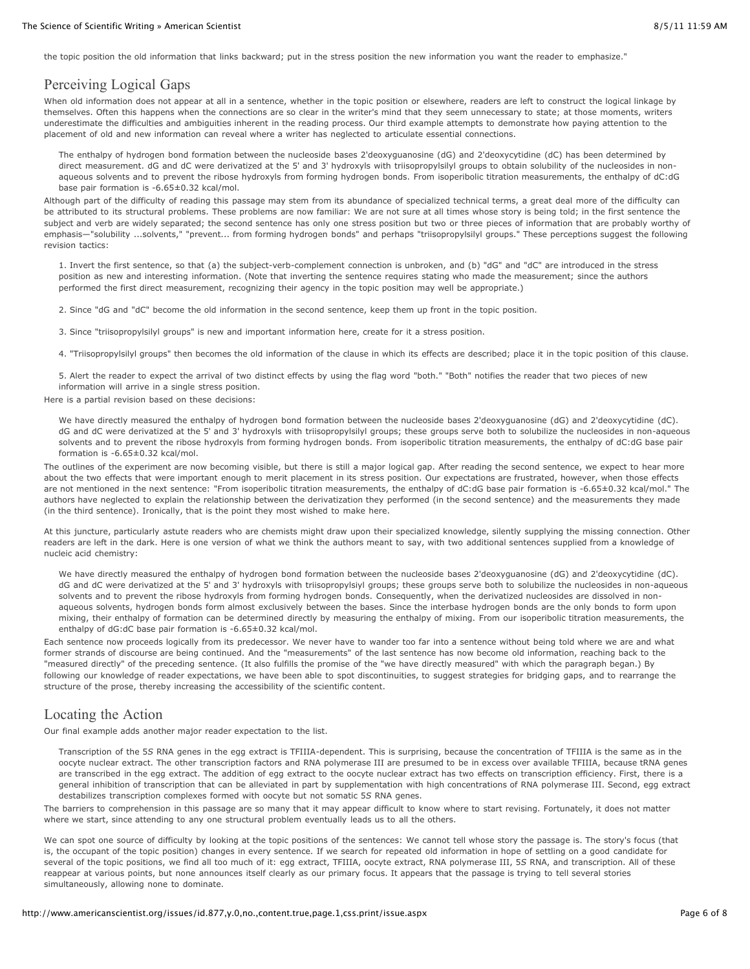the topic position the old information that links backward; put in the stress position the new information you want the reader to emphasize."

# Perceiving Logical Gaps

When old information does not appear at all in a sentence, whether in the topic position or elsewhere, readers are left to construct the logical linkage by themselves. Often this happens when the connections are so clear in the writer's mind that they seem unnecessary to state; at those moments, writers underestimate the difficulties and ambiguities inherent in the reading process. Our third example attempts to demonstrate how paying attention to the placement of old and new information can reveal where a writer has neglected to articulate essential connections.

The enthalpy of hydrogen bond formation between the nucleoside bases 2'deoxyguanosine (dG) and 2'deoxycytidine (dC) has been determined by direct measurement. dG and dC were derivatized at the 5' and 3' hydroxyls with triisopropylsilyl groups to obtain solubility of the nucleosides in nonaqueous solvents and to prevent the ribose hydroxyls from forming hydrogen bonds. From isoperibolic titration measurements, the enthalpy of dC:dG base pair formation is -6.65±0.32 kcal/mol.

Although part of the difficulty of reading this passage may stem from its abundance of specialized technical terms, a great deal more of the difficulty can be attributed to its structural problems. These problems are now familiar: We are not sure at all times whose story is being told; in the first sentence the subject and verb are widely separated; the second sentence has only one stress position but two or three pieces of information that are probably worthy of emphasis—"solubility ...solvents," "prevent... from forming hydrogen bonds" and perhaps "triisopropylsilyl groups." These perceptions suggest the following revision tactics:

1. Invert the first sentence, so that (a) the subject-verb-complement connection is unbroken, and (b) "dG" and "dC" are introduced in the stress position as new and interesting information. (Note that inverting the sentence requires stating who made the measurement; since the authors performed the first direct measurement, recognizing their agency in the topic position may well be appropriate.)

2. Since "dG and "dC" become the old information in the second sentence, keep them up front in the topic position.

3. Since "triisopropylsilyl groups" is new and important information here, create for it a stress position.

4. "Triisopropylsilyl groups" then becomes the old information of the clause in which its effects are described; place it in the topic position of this clause.

5. Alert the reader to expect the arrival of two distinct effects by using the flag word "both." "Both" notifies the reader that two pieces of new information will arrive in a single stress position.

Here is a partial revision based on these decisions:

We have directly measured the enthalpy of hydrogen bond formation between the nucleoside bases 2'deoxyguanosine (dG) and 2'deoxycytidine (dC). dG and dC were derivatized at the 5' and 3' hydroxyls with triisopropylsilyl groups; these groups serve both to solubilize the nucleosides in non-aqueous solvents and to prevent the ribose hydroxyls from forming hydrogen bonds. From isoperibolic titration measurements, the enthalpy of dC:dG base pair formation is -6.65±0.32 kcal/mol.

The outlines of the experiment are now becoming visible, but there is still a major logical gap. After reading the second sentence, we expect to hear more about the two effects that were important enough to merit placement in its stress position. Our expectations are frustrated, however, when those effects are not mentioned in the next sentence: "From isoperibolic titration measurements, the enthalpy of dC:dG base pair formation is -6.65±0.32 kcal/mol." The authors have neglected to explain the relationship between the derivatization they performed (in the second sentence) and the measurements they made (in the third sentence). Ironically, that is the point they most wished to make here.

At this juncture, particularly astute readers who are chemists might draw upon their specialized knowledge, silently supplying the missing connection. Other readers are left in the dark. Here is one version of what we think the authors meant to say, with two additional sentences supplied from a knowledge of nucleic acid chemistry:

We have directly measured the enthalpy of hydrogen bond formation between the nucleoside bases 2'deoxyguanosine (dG) and 2'deoxycytidine (dC). dG and dC were derivatized at the 5' and 3' hydroxyls with triisopropylsiyl groups; these groups serve both to solubilize the nucleosides in non-aqueous solvents and to prevent the ribose hydroxyls from forming hydrogen bonds. Consequently, when the derivatized nucleosides are dissolved in nonaqueous solvents, hydrogen bonds form almost exclusively between the bases. Since the interbase hydrogen bonds are the only bonds to form upon mixing, their enthalpy of formation can be determined directly by measuring the enthalpy of mixing. From our isoperibolic titration measurements, the enthalpy of dG:dC base pair formation is -6.65±0.32 kcal/mol.

Each sentence now proceeds logically from its predecessor. We never have to wander too far into a sentence without being told where we are and what former strands of discourse are being continued. And the "measurements" of the last sentence has now become old information, reaching back to the "measured directly" of the preceding sentence. (It also fulfills the promise of the "we have directly measured" with which the paragraph began.) By following our knowledge of reader expectations, we have been able to spot discontinuities, to suggest strategies for bridging gaps, and to rearrange the structure of the prose, thereby increasing the accessibility of the scientific content.

# Locating the Action

Our final example adds another major reader expectation to the list.

Transcription of the 5*S* RNA genes in the egg extract is TFIIIA-dependent. This is surprising, because the concentration of TFIIIA is the same as in the oocyte nuclear extract. The other transcription factors and RNA polymerase III are presumed to be in excess over available TFIIIA, because tRNA genes are transcribed in the egg extract. The addition of egg extract to the oocyte nuclear extract has two effects on transcription efficiency. First, there is a general inhibition of transcription that can be alleviated in part by supplementation with high concentrations of RNA polymerase III. Second, egg extract destabilizes transcription complexes formed with oocyte but not somatic 5*S* RNA genes.

The barriers to comprehension in this passage are so many that it may appear difficult to know where to start revising. Fortunately, it does not matter where we start, since attending to any one structural problem eventually leads us to all the others.

We can spot one source of difficulty by looking at the topic positions of the sentences: We cannot tell whose story the passage is. The story's focus (that is, the occupant of the topic position) changes in every sentence. If we search for repeated old information in hope of settling on a good candidate for several of the topic positions, we find all too much of it: egg extract, TFIIIA, oocyte extract, RNA polymerase III, 5*S* RNA, and transcription. All of these reappear at various points, but none announces itself clearly as our primary focus. It appears that the passage is trying to tell several stories simultaneously, allowing none to dominate.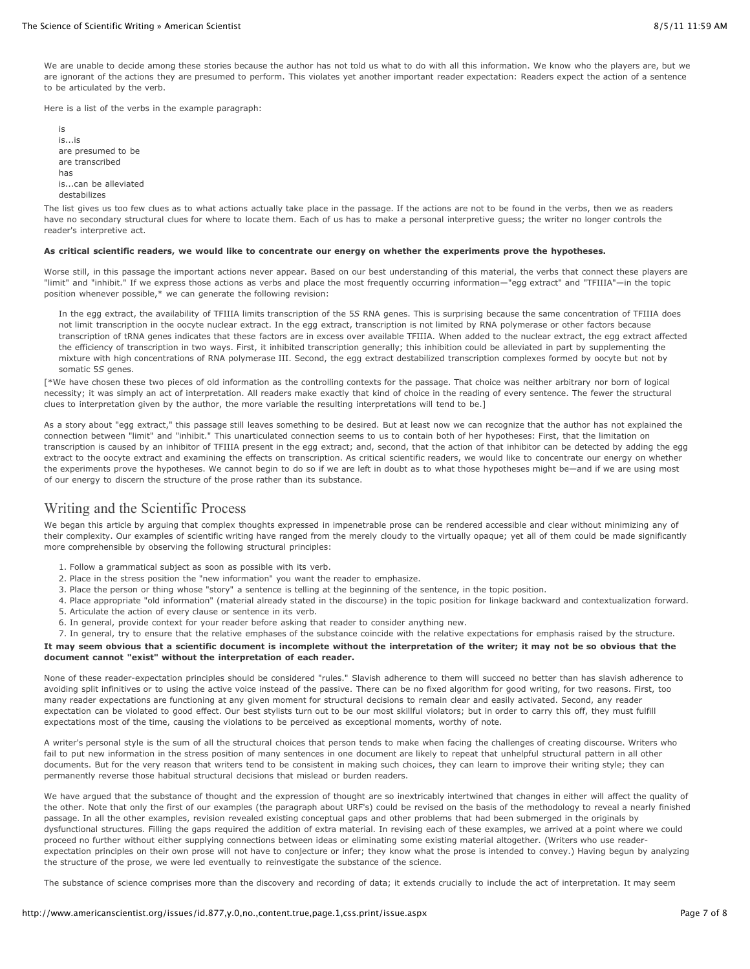We are unable to decide among these stories because the author has not told us what to do with all this information. We know who the players are, but we are ignorant of the actions they are presumed to perform. This violates yet another important reader expectation: Readers expect the action of a sentence to be articulated by the verb.

Here is a list of the verbs in the example paragraph:

is is...is are presumed to be are transcribed has is...can be alleviated destabilizes

The list gives us too few clues as to what actions actually take place in the passage. If the actions are not to be found in the verbs, then we as readers have no secondary structural clues for where to locate them. Each of us has to make a personal interpretive guess; the writer no longer controls the reader's interpretive act.

#### **As critical scientific readers, we would like to concentrate our energy on whether the experiments prove the hypotheses.**

Worse still, in this passage the important actions never appear. Based on our best understanding of this material, the verbs that connect these players are "limit" and "inhibit." If we express those actions as verbs and place the most frequently occurring information—"egg extract" and "TFIIIA"—in the topic position whenever possible,\* we can generate the following revision:

In the egg extract, the availability of TFIIIA limits transcription of the 5*S* RNA genes. This is surprising because the same concentration of TFIIIA does not limit transcription in the oocyte nuclear extract. In the egg extract, transcription is not limited by RNA polymerase or other factors because transcription of tRNA genes indicates that these factors are in excess over available TFIIIA. When added to the nuclear extract, the egg extract affected the efficiency of transcription in two ways. First, it inhibited transcription generally; this inhibition could be alleviated in part by supplementing the mixture with high concentrations of RNA polymerase III. Second, the egg extract destabilized transcription complexes formed by oocyte but not by somatic 5*S* genes.

[\*We have chosen these two pieces of old information as the controlling contexts for the passage. That choice was neither arbitrary nor born of logical necessity; it was simply an act of interpretation. All readers make exactly that kind of choice in the reading of every sentence. The fewer the structural clues to interpretation given by the author, the more variable the resulting interpretations will tend to be.]

As a story about "egg extract," this passage still leaves something to be desired. But at least now we can recognize that the author has not explained the connection between "limit" and "inhibit." This unarticulated connection seems to us to contain both of her hypotheses: First, that the limitation on transcription is caused by an inhibitor of TFIIIA present in the egg extract; and, second, that the action of that inhibitor can be detected by adding the egg extract to the oocyte extract and examining the effects on transcription. As critical scientific readers, we would like to concentrate our energy on whether the experiments prove the hypotheses. We cannot begin to do so if we are left in doubt as to what those hypotheses might be—and if we are using most of our energy to discern the structure of the prose rather than its substance.

# Writing and the Scientific Process

We began this article by arguing that complex thoughts expressed in impenetrable prose can be rendered accessible and clear without minimizing any of their complexity. Our examples of scientific writing have ranged from the merely cloudy to the virtually opaque; yet all of them could be made significantly more comprehensible by observing the following structural principles:

- 1. Follow a grammatical subject as soon as possible with its verb.
- 2. Place in the stress position the "new information" you want the reader to emphasize.
- 3. Place the person or thing whose "story" a sentence is telling at the beginning of the sentence, in the topic position.
- 4. Place appropriate "old information" (material already stated in the discourse) in the topic position for linkage backward and contextualization forward.
- 5. Articulate the action of every clause or sentence in its verb.
- 6. In general, provide context for your reader before asking that reader to consider anything new.

7. In general, try to ensure that the relative emphases of the substance coincide with the relative expectations for emphasis raised by the structure. **It may seem obvious that a scientific document is incomplete without the interpretation of the writer; it may not be so obvious that the document cannot "exist" without the interpretation of each reader.**

None of these reader-expectation principles should be considered "rules." Slavish adherence to them will succeed no better than has slavish adherence to avoiding split infinitives or to using the active voice instead of the passive. There can be no fixed algorithm for good writing, for two reasons. First, too many reader expectations are functioning at any given moment for structural decisions to remain clear and easily activated. Second, any reader expectation can be violated to good effect. Our best stylists turn out to be our most skillful violators; but in order to carry this off, they must fulfill expectations most of the time, causing the violations to be perceived as exceptional moments, worthy of note.

A writer's personal style is the sum of all the structural choices that person tends to make when facing the challenges of creating discourse. Writers who fail to put new information in the stress position of many sentences in one document are likely to repeat that unhelpful structural pattern in all other documents. But for the very reason that writers tend to be consistent in making such choices, they can learn to improve their writing style; they can permanently reverse those habitual structural decisions that mislead or burden readers.

We have argued that the substance of thought and the expression of thought are so inextricably intertwined that changes in either will affect the quality of the other. Note that only the first of our examples (the paragraph about URF's) could be revised on the basis of the methodology to reveal a nearly finished passage. In all the other examples, revision revealed existing conceptual gaps and other problems that had been submerged in the originals by dysfunctional structures. Filling the gaps required the addition of extra material. In revising each of these examples, we arrived at a point where we could proceed no further without either supplying connections between ideas or eliminating some existing material altogether. (Writers who use readerexpectation principles on their own prose will not have to conjecture or infer; they know what the prose is intended to convey.) Having begun by analyzing the structure of the prose, we were led eventually to reinvestigate the substance of the science.

The substance of science comprises more than the discovery and recording of data; it extends crucially to include the act of interpretation. It may seem